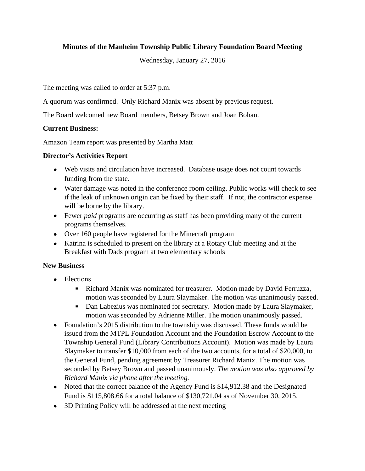# **Minutes of the Manheim Township Public Library Foundation Board Meeting**

Wednesday, January 27, 2016

The meeting was called to order at 5:37 p.m.

A quorum was confirmed. Only Richard Manix was absent by previous request.

The Board welcomed new Board members, Betsey Brown and Joan Bohan.

# **Current Business:**

Amazon Team report was presented by Martha Matt

# **Director's Activities Report**

- Web visits and circulation have increased. Database usage does not count towards funding from the state.
- Water damage was noted in the conference room ceiling. Public works will check to see if the leak of unknown origin can be fixed by their staff. If not, the contractor expense will be borne by the library.
- Fewer *paid* programs are occurring as staff has been providing many of the current programs themselves.
- Over 160 people have registered for the Minecraft program
- Katrina is scheduled to present on the library at a Rotary Club meeting and at the Breakfast with Dads program at two elementary schools

# **New Business**

- Elections
	- Richard Manix was nominated for treasurer. Motion made by David Ferruzza, motion was seconded by Laura Slaymaker. The motion was unanimously passed.
	- Dan Labezius was nominated for secretary. Motion made by Laura Slaymaker, motion was seconded by Adrienne Miller. The motion unanimously passed.
- Foundation's 2015 distribution to the township was discussed. These funds would be issued from the MTPL Foundation Account and the Foundation Escrow Account to the Township General Fund (Library Contributions Account). Motion was made by Laura Slaymaker to transfer \$10,000 from each of the two accounts, for a total of \$20,000, to the General Fund, pending agreement by Treasurer Richard Manix. The motion was seconded by Betsey Brown and passed unanimously. *The motion was also approved by Richard Manix via phone after the meeting.*
- Noted that the correct balance of the Agency Fund is \$14,912.38 and the Designated Fund is \$115,808.66 for a total balance of \$130,721.04 as of November 30, 2015.
- 3D Printing Policy will be addressed at the next meeting